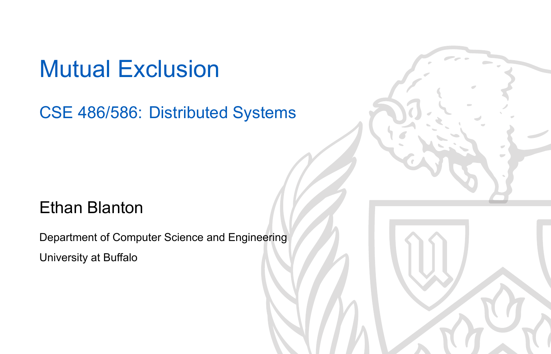### Mutual Exclusion

#### CSE 486/586: Distributed Systems

#### Ethan Blanton

Department of Computer Science and Engineering University at Buffalo

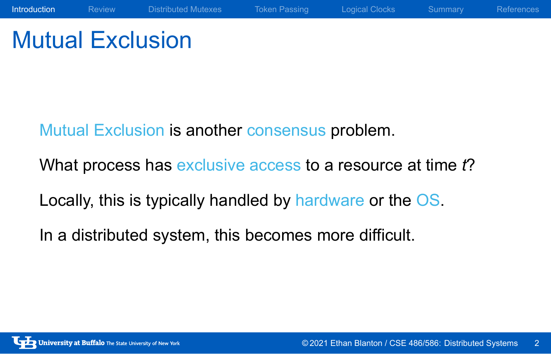# Mutual Exclusion

Mutual Exclusion is another consensus problem.

What process has exclusive access to a resource at time *t*?

Introduction Review Distributed Mutexes Token Passing Logical Clocks Summary References

Locally, this is typically handled by hardware or the OS.

In a distributed system, this becomes more difficult.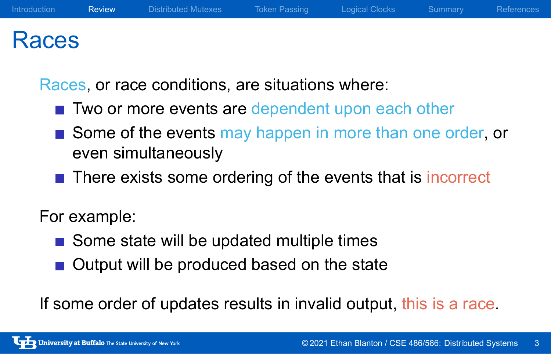### Races

Races, or race conditions, are situations where:

- Two or more events are dependent upon each other
- Some of the events may happen in more than one order, or even simultaneously
- There exists some ordering of the events that is incorrect

#### For example:

- Some state will be updated multiple times
- Output will be produced based on the state

If some order of updates results in invalid output, this is a race.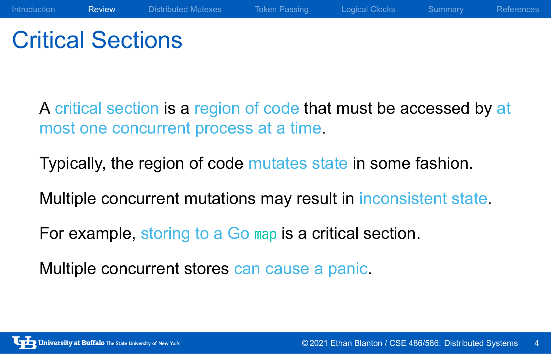### Critical Sections

A critical section is a region of code that must be accessed by at most one concurrent process at a time.

Introduction **Review** Distributed Mutexes Token Passing Logical Clocks Summary References

Typically, the region of code mutates state in some fashion.

Multiple concurrent mutations may result in inconsistent state.

For example, storing to a Go map is a critical section.

Multiple concurrent stores can cause a panic.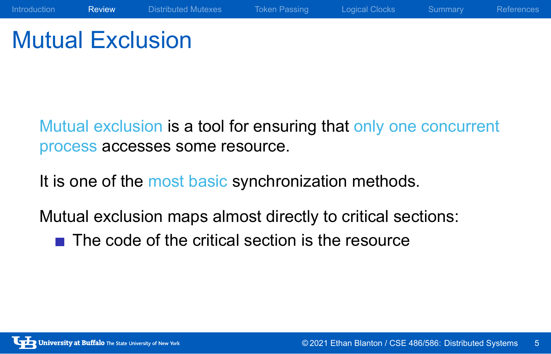# Mutual Exclusion

Mutual exclusion is a tool for ensuring that only one concurrent process accesses some resource.

Introduction **Review** Distributed Mutexes Token Passing Logical Clocks Summary References

It is one of the most basic synchronization methods.

Mutual exclusion maps almost directly to critical sections:

 $\blacksquare$  The code of the critical section is the resource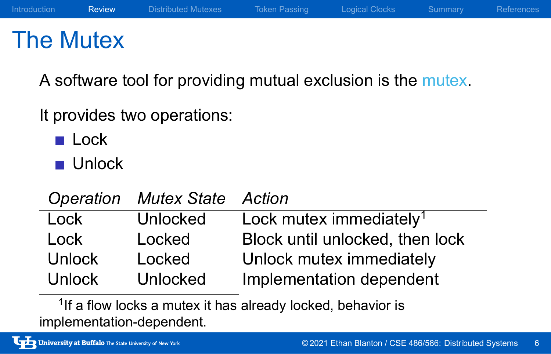### The Mutex

A software tool for providing mutual exclusion is the mutex.

Introduction Review Distributed Mutexes Token Passing Logical Clocks Summary References

It provides two operations:

- **Lock**
- **Unlock**

*Operation Mutex State Action* Lock Unlocked Lock mutex immediately<sup>1</sup> Lock Locked Block until unlocked, then lock

Unlock Locked Unlock mutex immediately Unlock Unlocked Implementation dependent

<sup>1</sup>If a flow locks a mutex it has already locked, behavior is implementation-dependent.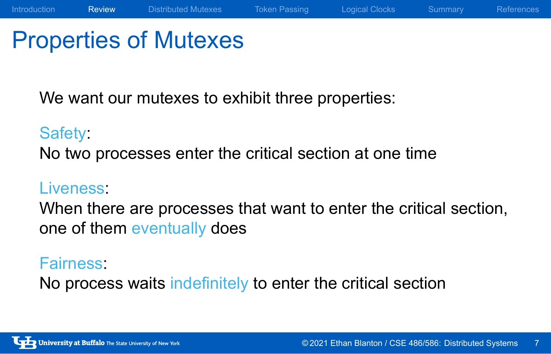### Properties of Mutexes

We want our mutexes to exhibit three properties:

#### Safety:

No two processes enter the critical section at one time

#### Liveness:

When there are processes that want to enter the critical section, one of them eventually does

Introduction **Review** Distributed Mutexes Token Passing Logical Clocks Summary References

#### Fairness:

No process waits indefinitely to enter the critical section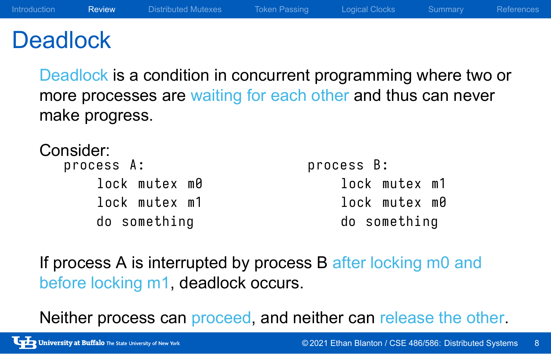### **Deadlock**

Deadlock is a condition in concurrent programming where two or more processes are waiting for each other and thus can never make progress.

Introduction **Review** Distributed Mutexes Token Passing Logical Clocks Summary References

Consider:

| process A:    | process B:   |
|---------------|--------------|
| lock mutex m0 | lock mutex m |
| lock mutex m1 | lock mutex m |
| do something  | do something |
|               |              |

If process A is interrupted by process B after locking m0 and before locking m1, deadlock occurs.

Neither process can proceed, and neither can release the other.

 $m1$  $m\theta$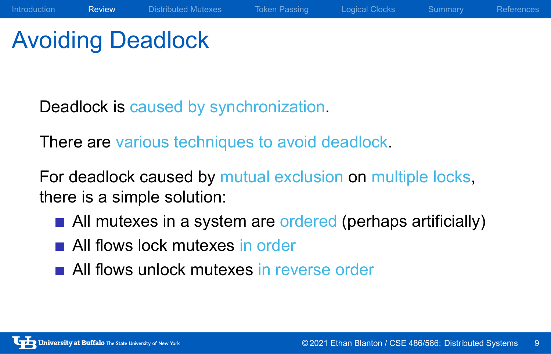# Avoiding Deadlock

Deadlock is caused by synchronization.

There are various techniques to avoid deadlock.

For deadlock caused by mutual exclusion on multiple locks, there is a simple solution:

All mutexes in a system are ordered (perhaps artificially)

Introduction Review Distributed Mutexes Token Passing Logical Clocks Summary References

- **All flows lock mutexes in order**
- All flows unlock mutexes in reverse order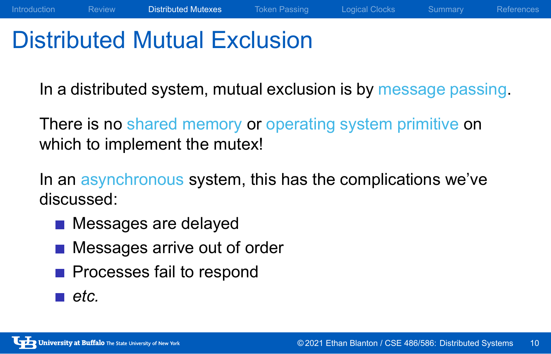### Distributed Mutual Exclusion

In a distributed system, mutual exclusion is by message passing.

Introduction Review Distributed Mutexes Token Passing Logical Clocks Summary References

There is no shared memory or operating system primitive on which to implement the mutex!

In an asynchronous system, this has the complications we've discussed:

- **Messages are delayed**
- **Messages arrive out of order**
- **Processes fail to respond**
- *etc.*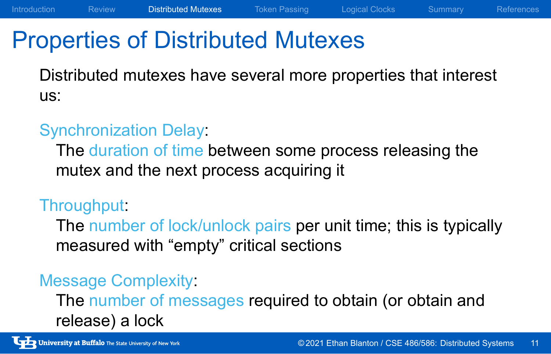# Properties of Distributed Mutexes

Distributed mutexes have several more properties that interest us:

Introduction Review Distributed Mutexes Token Passing Logical Clocks Summary References

#### Synchronization Delay:

The duration of time between some process releasing the mutex and the next process acquiring it

#### Throughput:

The number of lock/unlock pairs per unit time; this is typically measured with "empty" critical sections

#### Message Complexity:

The number of messages required to obtain (or obtain and release) a lock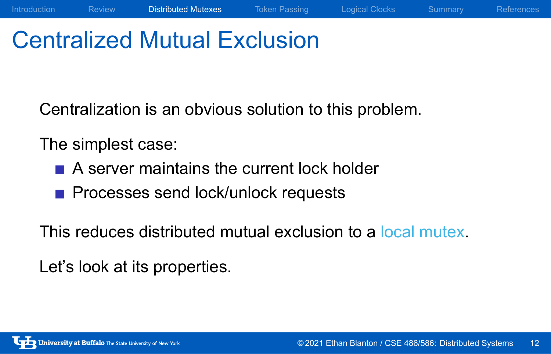# Centralized Mutual Exclusion

Centralization is an obvious solution to this problem.

Introduction Review Distributed Mutexes Token Passing Logical Clocks Summary References

The simplest case:

- A server maintains the current lock holder
- **Processes send lock/unlock requests**

This reduces distributed mutual exclusion to a local mutex.

Let's look at its properties.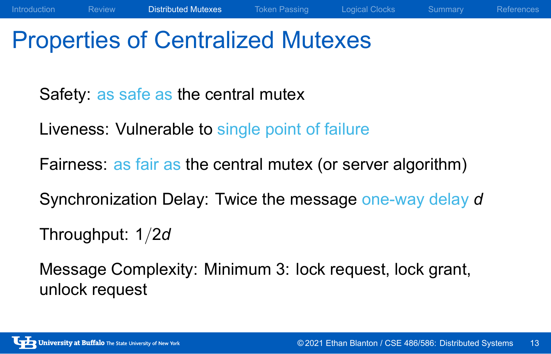### Properties of Centralized Mutexes

Safety: as safe as the central mutex

Liveness: Vulnerable to single point of failure

Fairness: as fair as the central mutex (or server algorithm)

Synchronization Delay: Twice the message one-way delay *d*

Introduction Review Distributed Mutexes Token Passing Logical Clocks Summary References

Throughput: 1*/*2*d*

Message Complexity: Minimum 3: lock request, lock grant, unlock request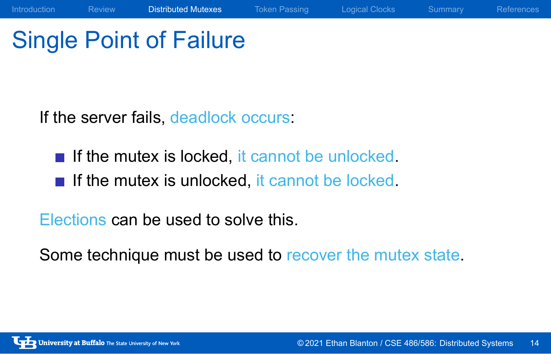# Single Point of Failure

If the server fails, deadlock occurs:

- If the mutex is locked, it cannot be unlocked.
- $\blacksquare$  If the mutex is unlocked, it cannot be locked.

Elections can be used to solve this.

Some technique must be used to recover the mutex state.

Introduction Review **Distributed Mutexes** Token Passing Logical Clocks Summary References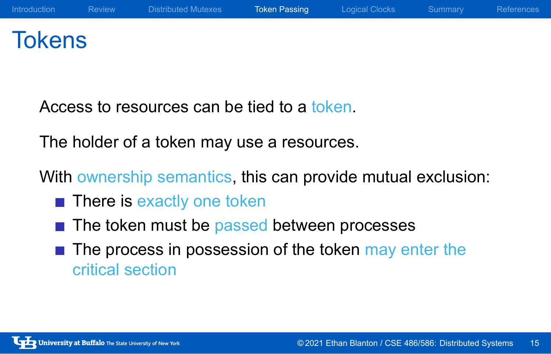## **Tokens**

Access to resources can be tied to a token.

The holder of a token may use a resources.

With ownership semantics, this can provide mutual exclusion:

- **There is exactly one token**
- $\blacksquare$  The token must be passed between processes
- $\blacksquare$  The process in possession of the token may enter the critical section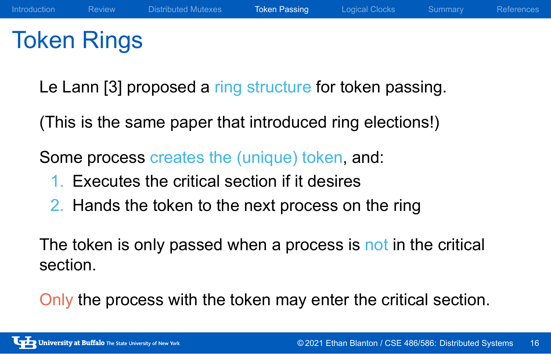## Token Rings

Le Lann [3] proposed a ring structure for token passing.

(This is the same paper that introduced ring elections!)

Some process creates the (unique) token, and:

- 1. Executes the critical section if it desires
- 2. Hands the token to the next process on the ring

The token is only passed when a process is not in the critical section.

Only the process with the token may enter the critical section.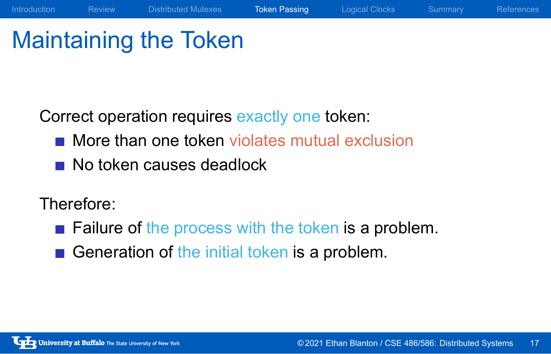# Maintaining the Token

Correct operation requires exactly one token:

**More than one token violates mutual exclusion** 

Introduction Review Distributed Mutexes Token Passing Logical Clocks Summary References

No token causes deadlock

#### Therefore:

- **Failure of the process with the token is a problem.**
- Generation of the initial token is a problem.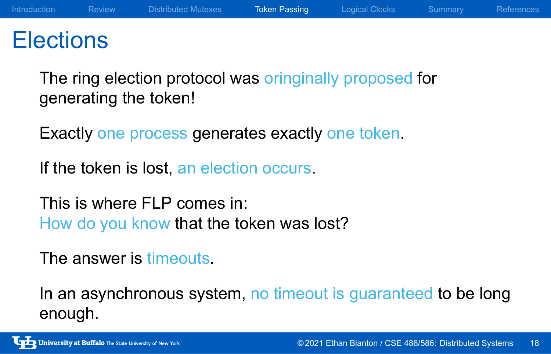### **Elections**

The ring election protocol was oringinally proposed for generating the token!

Exactly one process generates exactly one token.

If the token is lost, an election occurs.

This is where FLP comes in: How do you know that the token was lost?

The answer is timeouts.

In an asynchronous system, no timeout is guaranteed to be long enough.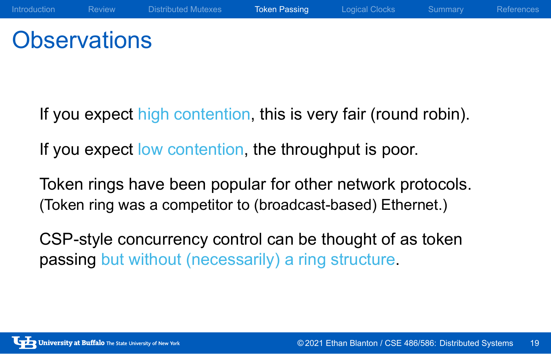### **Observations**

If you expect high contention, this is very fair (round robin).

Introduction Review Distributed Mutexes Token Passing Logical Clocks Summary References

If you expect low contention, the throughput is poor.

Token rings have been popular for other network protocols. (Token ring was a competitor to (broadcast-based) Ethernet.)

CSP-style concurrency control can be thought of as token passing but without (necessarily) a ring structure.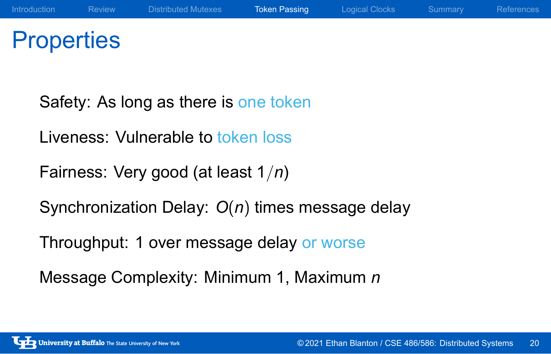# **Properties**

Safety: As long as there is one token Liveness: Vulnerable to token loss Fairness: Very good (at least 1*/n*) Synchronization Delay: *O*(*n*) times message delay Throughput: 1 over message delay or worse Message Complexity: Minimum 1, Maximum *n*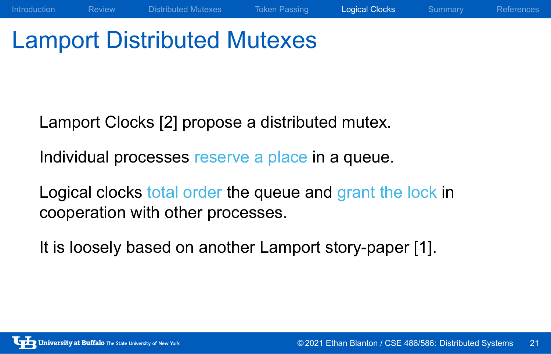# Lamport Distributed Mutexes

Lamport Clocks [2] propose a distributed mutex.

Individual processes reserve a place in a queue.

Logical clocks total order the queue and grant the lock in cooperation with other processes.

Introduction Review Distributed Mutexes Token Passing Logical Clocks Summary References

It is loosely based on another Lamport story-paper [1].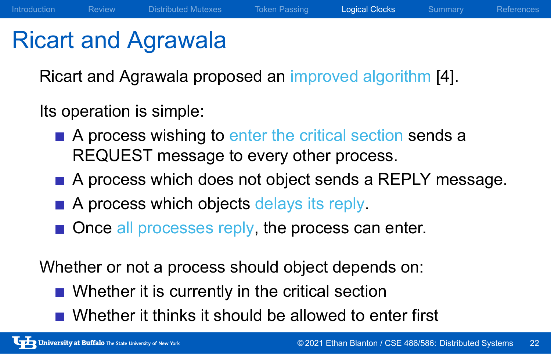### Ricart and Agrawala

Ricart and Agrawala proposed an improved algorithm [4].

Introduction Review Distributed Mutexes Token Passing Logical Clocks Summary References

Its operation is simple:

- A process wishing to enter the critical section sends a REQUEST message to every other process.
- A process which does not object sends a REPLY message.
- A process which objects delays its reply.
- Once all processes reply, the process can enter.

Whether or not a process should object depends on:

- Whether it is currently in the critical section
- Whether it thinks it should be allowed to enter first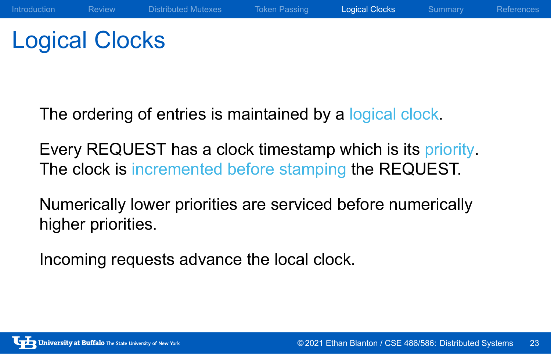# Logical Clocks

The ordering of entries is maintained by a logical clock.

Every REQUEST has a clock timestamp which is its priority. The clock is incremented before stamping the REQUEST.

Introduction Review Distributed Mutexes Token Passing Logical Clocks Summary References

Numerically lower priorities are serviced before numerically higher priorities.

Incoming requests advance the local clock.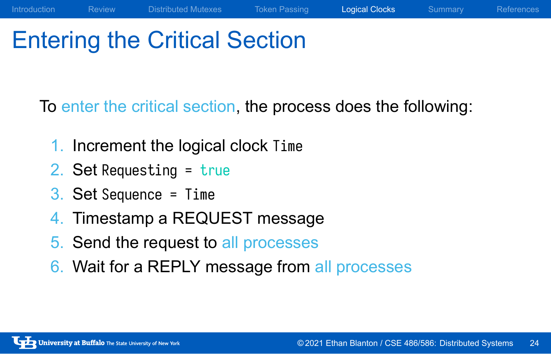# Entering the Critical Section

To enter the critical section, the process does the following:

Introduction Review Distributed Mutexes Token Passing Logical Clocks Summary References

- 1. Increment the logical clock Time
- 2. Set Requesting = true
- 3. Set Sequence = Time
- 4. Timestamp a REQUEST message
- 5. Send the request to all processes
- 6. Wait for a REPLY message from all processes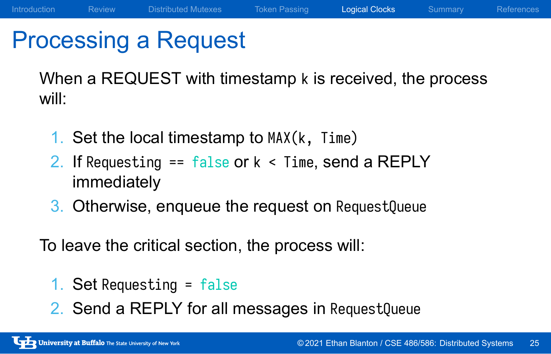### Processing a Request

When a REQUEST with timestamp k is received, the process will:

Introduction Review Distributed Mutexes Token Passing Logical Clocks Summary References

- 1. Set the local timestamp to MAX(k, Time)
- 2. If Requesting  $==$  false or  $k <$  Time, send a REPLY immediately
- 3. Otherwise, enqueue the request on RequestQueue

To leave the critical section, the process will:

- 1. Set Requesting = false
- 2. Send a REPLY for all messages in RequestQueue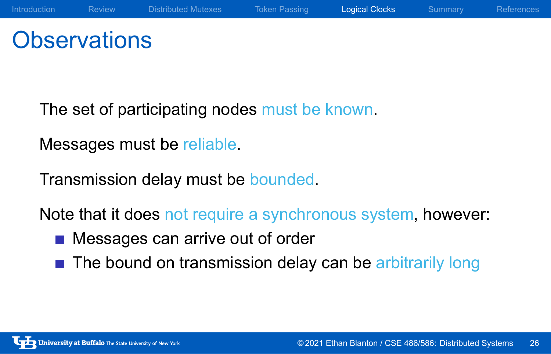# **Observations**

The set of participating nodes must be known.

Messages must be reliable.

Transmission delay must be bounded.

Note that it does not require a synchronous system, however:

Introduction Review Distributed Mutexes Token Passing Logical Clocks Summary References

- **Messages can arrive out of order**
- The bound on transmission delay can be arbitrarily long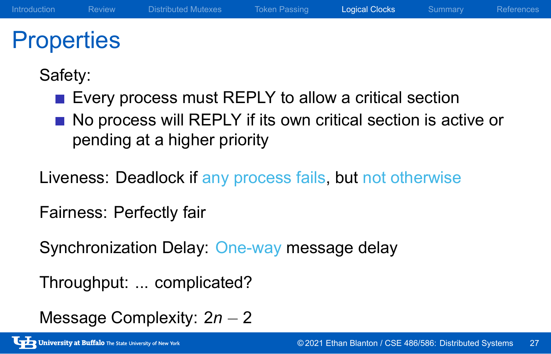# **Properties**

Safety:

- Every process must REPLY to allow a critical section
- No process will REPLY if its own critical section is active or pending at a higher priority

Introduction Review Distributed Mutexes Token Passing Logical Clocks Summary References

Liveness: Deadlock if any process fails, but not otherwise

Fairness: Perfectly fair

Synchronization Delay: One-way message delay

Throughput: ... complicated?

Message Complexity: 2*n −* 2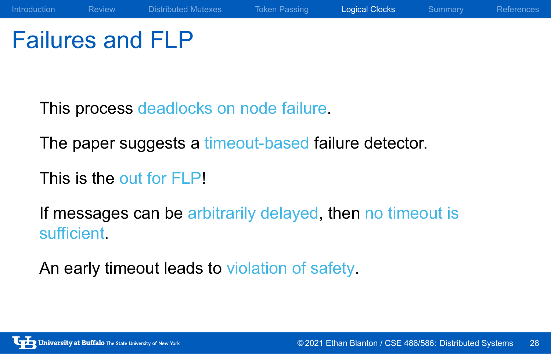Failures and FLP

This process deadlocks on node failure.

The paper suggests a timeout-based failure detector.

This is the out for FLP!

If messages can be arbitrarily delayed, then no timeout is sufficient.

An early timeout leads to violation of safety.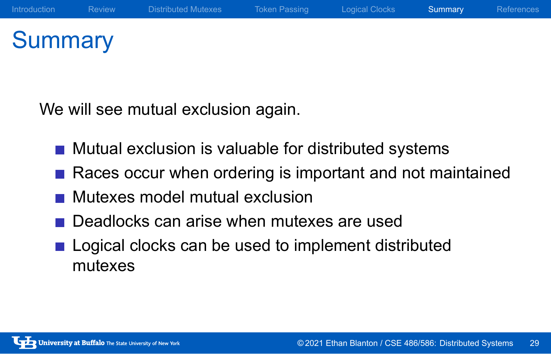# **Summary**

We will see mutual exclusion again.

- **Mutual exclusion is valuable for distributed systems**
- Races occur when ordering is important and not maintained
- **Mutexes model mutual exclusion**
- Deadlocks can arise when mutexes are used
- **Logical clocks can be used to implement distributed** mutexes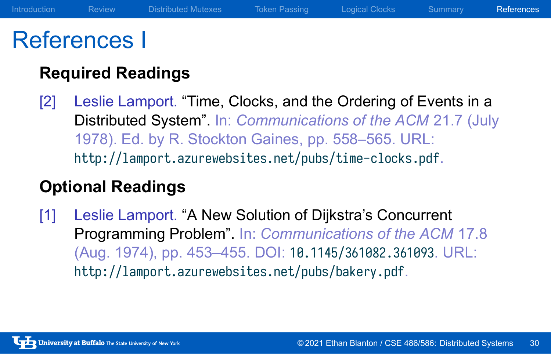### References I

#### **Required Readings**

[2] Leslie Lamport. "Time, Clocks, and the Ordering of Events in a Distributed System". In: *Communications of the ACM* 21.7 (July 1978). Ed. by R. Stockton Gaines, pp. 558–565. URL: http://lamport.azurewebsites.net/pubs/time-clocks.pdf.

#### **Optional Readings**

[1] Leslie Lamport. "A New Solution of Dijkstra's Concurrent Programming Problem". In: *Communications of the ACM* 17.8 (Aug. 1974), pp. 453–455. DOI: 10.1145/361082.361093. URL: http://lamport.azurewebsites.net/pubs/bakery.pdf.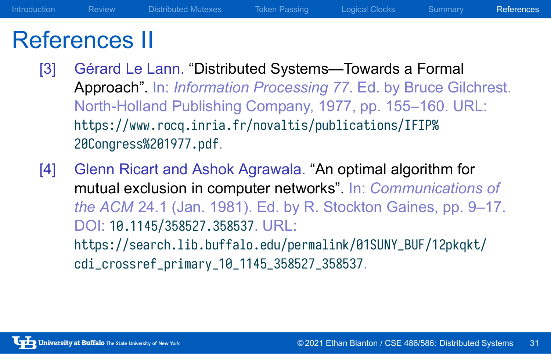### References II

[3] Gérard Le Lann. "Distributed Systems—Towards a Formal Approach". In: *Information Processing 77*. Ed. by Bruce Gilchrest. North-Holland Publishing Company, 1977, pp. 155–160. URL: https://www.rocq.inria.fr/novaltis/publications/IFIP% 20Congress%201977.pdf.

Introduction Review Distributed Mutexes Token Passing Logical Clocks Summary References

[4] Glenn Ricart and Ashok Agrawala. "An optimal algorithm for mutual exclusion in computer networks". In: *Communications of the ACM* 24.1 (Jan. 1981). Ed. by R. Stockton Gaines, pp. 9–17. DOI: 10.1145/358527.358537. URL: https://search.lib.buffalo.edu/permalink/01SUNY\_BUF/12pkqkt/ cdi\_crossref\_primary\_10\_1145\_358527\_358537.